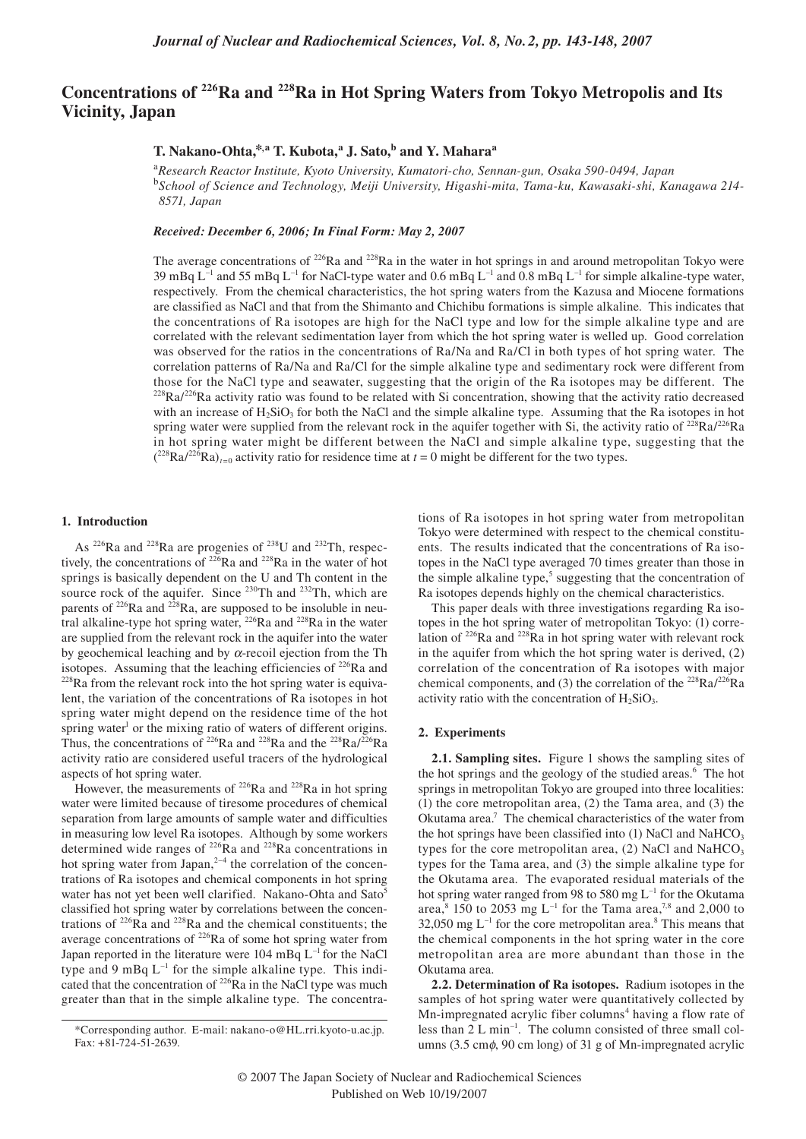# **Concentrations of 226Ra and 228Ra in Hot Spring Waters from Tokyo Metropolis and Its Vicinity, Japan**

## **T. Nakano-Ohta,\*,a T. Kubota,<sup>a</sup> J. Sato,b and Y. Maharaa**

<sup>a</sup>*Research Reactor Institute, Kyoto University, Kumatori-cho, Sennan-gun, Osaka 590-0494, Japan* <sup>b</sup>*School of Science and Technology, Meiji University, Higashi-mita, Tama-ku, Kawasaki-shi, Kanagawa 214- 8571, Japan*

*Received: December 6, 2006; In Final Form: May 2, 2007*

The average concentrations of  $226$ Ra and  $228$ Ra in the water in hot springs in and around metropolitan Tokyo were 39 mBq  $L^{-1}$  and 55 mBq  $L^{-1}$  for NaCl-type water and 0.6 mBq  $L^{-1}$  and 0.8 mBq  $L^{-1}$  for simple alkaline-type water, respectively. From the chemical characteristics, the hot spring waters from the Kazusa and Miocene formations are classified as NaCl and that from the Shimanto and Chichibu formations is simple alkaline. This indicates that the concentrations of Ra isotopes are high for the NaCl type and low for the simple alkaline type and are correlated with the relevant sedimentation layer from which the hot spring water is welled up. Good correlation was observed for the ratios in the concentrations of Ra/Na and Ra/Cl in both types of hot spring water. The correlation patterns of Ra/Na and Ra/Cl for the simple alkaline type and sedimentary rock were different from those for the NaCl type and seawater, suggesting that the origin of the Ra isotopes may be different. The  $^{228}$ Ra/ $^{226}$ Ra activity ratio was found to be related with Si concentration, showing that the activity ratio decreased with an increase of  $H_2SiO_3$  for both the NaCl and the simple alkaline type. Assuming that the Ra isotopes in hot spring water were supplied from the relevant rock in the aquifer together with Si, the activity ratio of  $^{228}Ra/^{226}Ra$ in hot spring water might be different between the NaCl and simple alkaline type, suggesting that the  $(^{228}Ra^{226}Ra)_{t=0}$  activity ratio for residence time at  $t=0$  might be different for the two types.

#### **1. Introduction**

As 226Ra and 228Ra are progenies of 238U and 232Th, respectively, the concentrations of 226Ra and 228Ra in the water of hot springs is basically dependent on the U and Th content in the source rock of the aquifer. Since <sup>230</sup>Th and <sup>232</sup>Th, which are parents of <sup>226</sup>Ra and <sup>228</sup>Ra, are supposed to be insoluble in neutral alkaline-type hot spring water,  $226$ Ra and  $228$ Ra in the water are supplied from the relevant rock in the aquifer into the water by geochemical leaching and by  $\alpha$ -recoil ejection from the Th isotopes. Assuming that the leaching efficiencies of  $^{226}$ Ra and  $^{228}$ Ra from the relevant rock into the hot spring water is equivalent, the variation of the concentrations of Ra isotopes in hot spring water might depend on the residence time of the hot spring water<sup>1</sup> or the mixing ratio of waters of different origins. Thus, the concentrations of <sup>226</sup>Ra and <sup>228</sup>Ra and the <sup>228</sup>Ra/<sup>226</sup>Ra activity ratio are considered useful tracers of the hydrological aspects of hot spring water.

However, the measurements of  $^{226}$ Ra and  $^{228}$ Ra in hot spring water were limited because of tiresome procedures of chemical separation from large amounts of sample water and difficulties in measuring low level Ra isotopes. Although by some workers determined wide ranges of  $^{226}$ Ra and  $^{228}$ Ra concentrations in hot spring water from Japan, $2^{-4}$  the correlation of the concentrations of Ra isotopes and chemical components in hot spring water has not yet been well clarified. Nakano-Ohta and Sato<sup>5</sup> classified hot spring water by correlations between the concentrations of  $^{226}$  $\overline{Ra}$  and  $^{228}$  $\overline{Ra}$  and the chemical constituents; the average concentrations of <sup>226</sup>Ra of some hot spring water from Japan reported in the literature were  $104 \text{ mBq } L^{-1}$  for the NaCl type and 9 mBq  $L^{-1}$  for the simple alkaline type. This indicated that the concentration of  $^{226}$ Ra in the NaCl type was much greater than that in the simple alkaline type. The concentrations of Ra isotopes in hot spring water from metropolitan Tokyo were determined with respect to the chemical constituents. The results indicated that the concentrations of Ra isotopes in the NaCl type averaged 70 times greater than those in the simple alkaline type, $5$  suggesting that the concentration of Ra isotopes depends highly on the chemical characteristics.

This paper deals with three investigations regarding Ra isotopes in the hot spring water of metropolitan Tokyo: (1) correlation of 226Ra and 228Ra in hot spring water with relevant rock in the aquifer from which the hot spring water is derived, (2) correlation of the concentration of Ra isotopes with major chemical components, and (3) the correlation of the  $^{228}Ra^{226}Ra$ activity ratio with the concentration of  $H_2SiO_3$ .

### **2. Experiments**

**2.1. Sampling sites.** Figure 1 shows the sampling sites of the hot springs and the geology of the studied areas.<sup>6</sup> The hot springs in metropolitan Tokyo are grouped into three localities: (1) the core metropolitan area, (2) the Tama area, and (3) the Okutama area.<sup>7</sup> The chemical characteristics of the water from the hot springs have been classified into  $(1)$  NaCl and NaHCO<sub>3</sub> types for the core metropolitan area,  $(2)$  NaCl and NaHCO<sub>3</sub> types for the Tama area, and (3) the simple alkaline type for the Okutama area. The evaporated residual materials of the hot spring water ranged from 98 to 580 mg  $L^{-1}$  for the Okutama area,<sup>8</sup> 150 to 2053 mg L<sup>-1</sup> for the Tama area,<sup>7,8</sup> and 2,000 to  $32,050$  mg  $L^{-1}$  for the core metropolitan area.<sup>8</sup> This means that the chemical components in the hot spring water in the core metropolitan area are more abundant than those in the Okutama area.

**2.2. Determination of Ra isotopes.** Radium isotopes in the samples of hot spring water were quantitatively collected by Mn-impregnated acrylic fiber columns<sup>4</sup> having a flow rate of less than  $2 L \text{ min}^{-1}$ . The column consisted of three small columns (3.5 cmφ, 90 cm long) of 31 g of Mn-impregnated acrylic

<sup>\*</sup>Corresponding author. E-mail: nakano-o@HL.rri.kyoto-u.ac.jp. Fax: +81-724-51-2639.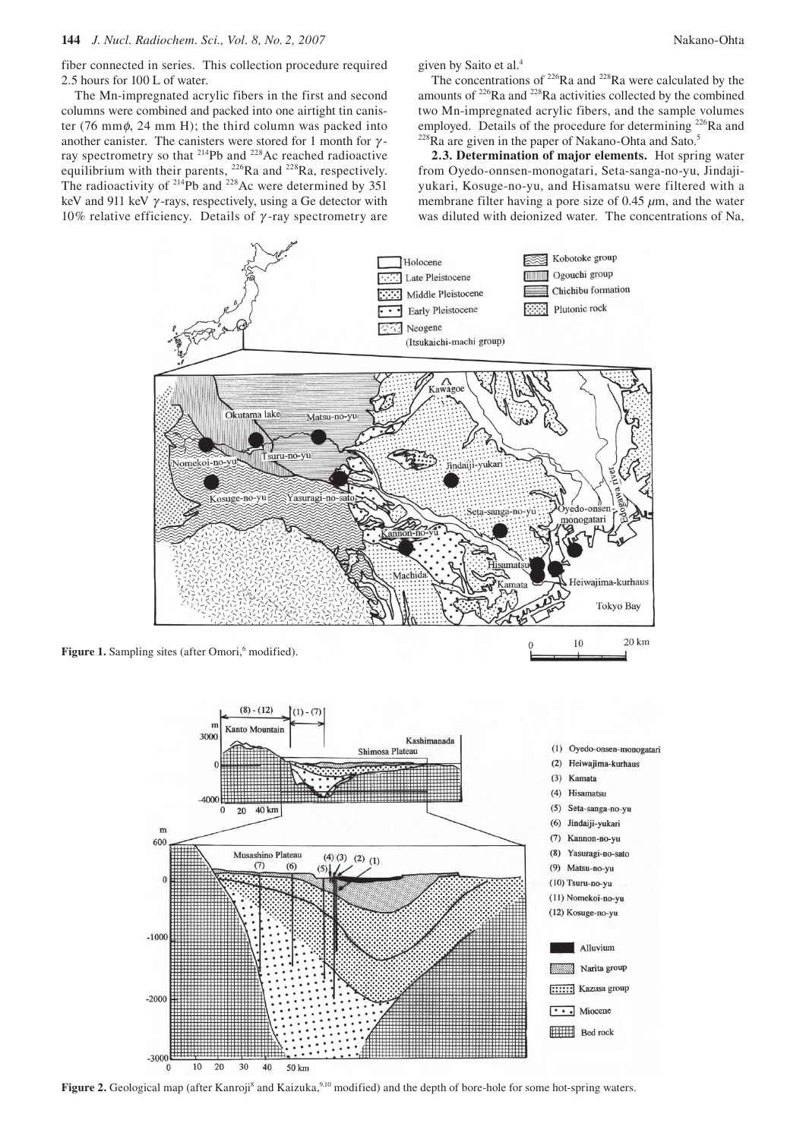fiber connected in series. This collection procedure required 2.5 hours for 100 L of water.

The Mn-impregnated acrylic fibers in the first and second columns were combined and packed into one airtight tin canister (76 mm $\phi$ , 24 mm H); the third column was packed into another canister. The canisters were stored for 1 month for  $\gamma$ ray spectrometry so that 214Pb and 228Ac reached radioactive equilibrium with their parents, <sup>226</sup>Ra and <sup>228</sup>Ra, respectively. The radioactivity of  $^{214}Pb$  and  $^{228}Ac$  were determined by 351 keV and 911 keV  $\gamma$ -rays, respectively, using a Ge detector with 10% relative efficiency. Details of γ -ray spectrometry are given by Saito et al.<sup>4</sup>

The concentrations of  $226Ra$  and  $228Ra$  were calculated by the amounts of 226Ra and 228Ra activities collected by the combined two Mn-impregnated acrylic fibers, and the sample volumes employed. Details of the procedure for determining <sup>226</sup>Ra and <sup>228</sup>Ra are given in the paper of Nakano-Ohta and Sato.<sup>5</sup>

**2.3. Determination of major elements.** Hot spring water from Oyedo-onnsen-monogatari, Seta-sanga-no-yu, Jindajiyukari, Kosuge-no-yu, and Hisamatsu were filtered with a membrane filter having a pore size of 0.45 *µ*m, and the water was diluted with deionized water. The concentrations of Na,



Figure 1. Sampling sites (after Omori,<sup>6</sup> modified).



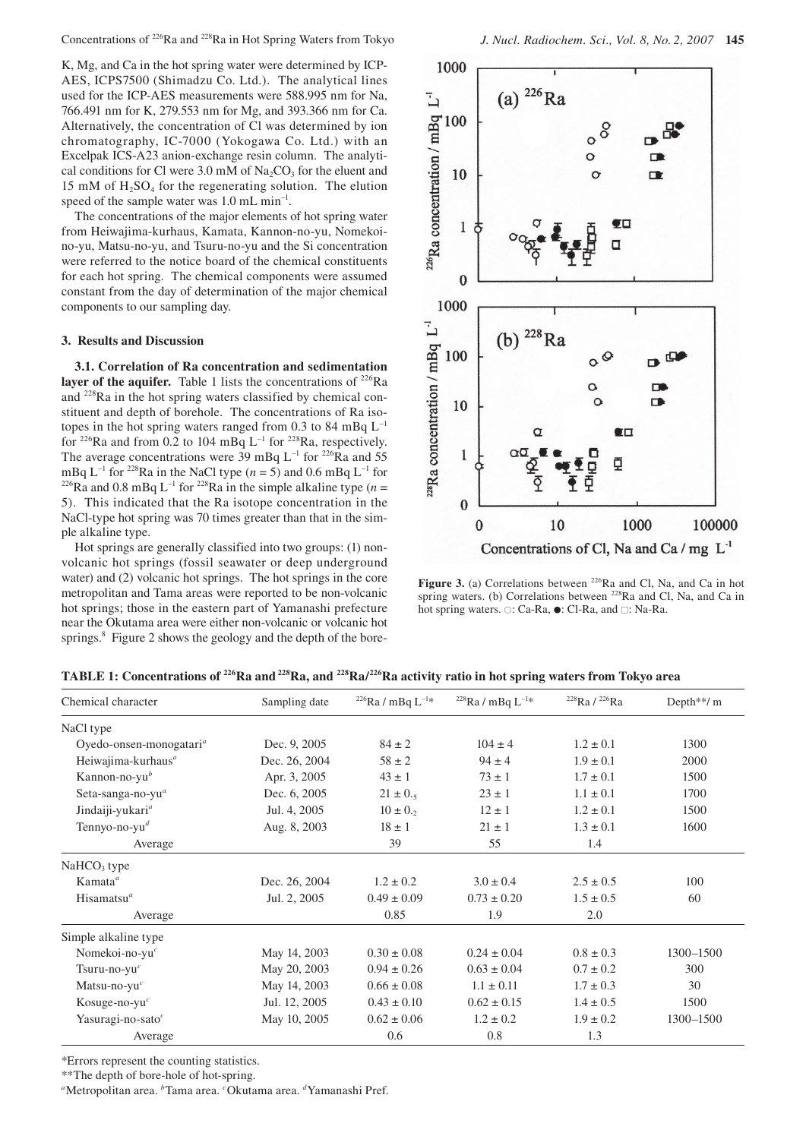Concentrations of 226Ra and 228Ra in Hot Spring Waters from Tokyo *J. Nucl. Radiochem. Sci., Vol. 8, No. 2, 2007* **145**

K, Mg, and Ca in the hot spring water were determined by ICP-AES, ICPS7500 (Shimadzu Co. Ltd.). The analytical lines used for the ICP-AES measurements were 588.995 nm for Na, 766.491 nm for K, 279.553 nm for Mg, and 393.366 nm for Ca. Alternatively, the concentration of Cl was determined by ion chromatography, IC-7000 (Yokogawa Co. Ltd.) with an Excelpak ICS-A23 anion-exchange resin column. The analytical conditions for Cl were  $3.0 \text{ mM of Na}_2\text{CO}_3$  for the eluent and 15 mM of  $H_2SO_4$  for the regenerating solution. The elution speed of the sample water was 1.0 mL min<sup>-1</sup>.

The concentrations of the major elements of hot spring water from Heiwajima-kurhaus, Kamata, Kannon-no-yu, Nomekoino-yu, Matsu-no-yu, and Tsuru-no-yu and the Si concentration were referred to the notice board of the chemical constituents for each hot spring. The chemical components were assumed constant from the day of determination of the major chemical components to our sampling day.

#### **3. Results and Discussion**

**3.1. Correlation of Ra concentration and sedimentation layer of the aquifer.** Table 1 lists the concentrations of  $226$ Ra and 228Ra in the hot spring waters classified by chemical constituent and depth of borehole. The concentrations of Ra isotopes in the hot spring waters ranged from 0.3 to 84 mBq  $L^{-1}$ for <sup>226</sup>Ra and from 0.2 to 104 mBq  $L^{-1}$  for <sup>228</sup>Ra, respectively. The average concentrations were 39 mBq L<sup>-1</sup> for <sup>226</sup>Ra and 55 mBq L<sup>-1</sup> for <sup>228</sup>Ra in the NaCl type (*n* = 5) and 0.6 mBq L<sup>-1</sup> for <sup>226</sup>Ra and 0.8 mBq L<sup>-1</sup> for <sup>228</sup>Ra in the simple alkaline type (*n* = 5). This indicated that the Ra isotope concentration in the NaCl-type hot spring was 70 times greater than that in the simple alkaline type.

Hot springs are generally classified into two groups: (1) nonvolcanic hot springs (fossil seawater or deep underground water) and (2) volcanic hot springs. The hot springs in the core metropolitan and Tama areas were reported to be non-volcanic hot springs; those in the eastern part of Yamanashi prefecture near the Okutama area were either non-volcanic or volcanic hot springs.<sup>8</sup> Figure 2 shows the geology and the depth of the bore-



Figure 3. (a) Correlations between <sup>226</sup>Ra and Cl, Na, and Ca in hot spring waters. (b) Correlations between <sup>228</sup>Ra and Cl, Na, and Ca in hot spring waters. ○: Ca-Ra, ●: Cl-Ra, and □: Na-Ra.

| Chemical character                  | Sampling date | $226$ Ra / mBq L <sup>-1*</sup> | $228$ Ra / mBq L <sup>-1*</sup> | $^{228}$ Ra / $^{226}$ Ra | Depth**/ $m$ |
|-------------------------------------|---------------|---------------------------------|---------------------------------|---------------------------|--------------|
| NaCl type                           |               |                                 |                                 |                           |              |
| Oyedo-onsen-monogatari <sup>a</sup> | Dec. 9, 2005  | $84 \pm 2$                      | $104 \pm 4$                     | $1.2 \pm 0.1$             | 1300         |
| Heiwajima-kurhaus <sup>a</sup>      | Dec. 26, 2004 | $58 \pm 2$                      | $94 \pm 4$                      | $1.9 \pm 0.1$             | 2000         |
| Kannon-no-yu $^b$                   | Apr. 3, 2005  | $43 \pm 1$                      | $73 \pm 1$                      | $1.7 \pm 0.1$             | 1500         |
| Seta-sanga-no-yu <sup>a</sup>       | Dec. 6, 2005  | $21 \pm 0.5$                    | $23 \pm 1$                      | $1.1 \pm 0.1$             | 1700         |
| Jindaiji-yukari <sup>a</sup>        | Jul. 4, 2005  | $10 \pm 0.2$                    | $12 \pm 1$                      | $1.2 \pm 0.1$             | 1500         |
| Tennyo-no-yu <sup>d</sup>           | Aug. 8, 2003  | $18 \pm 1$                      | $21 \pm 1$                      | $1.3 \pm 0.1$             | 1600         |
| Average                             |               | 39                              | 55                              | 1.4                       |              |
| $NaHCO3$ type                       |               |                                 |                                 |                           |              |
| $Kamata^a$                          | Dec. 26, 2004 | $1.2 \pm 0.2$                   | $3.0 \pm 0.4$                   | $2.5 \pm 0.5$             | 100          |
| Hisamatsu <sup><math>a</math></sup> | Jul. 2, 2005  | $0.49 \pm 0.09$                 | $0.73 \pm 0.20$                 | $1.5 \pm 0.5$             | 60           |
| Average                             |               | 0.85                            | 1.9                             | 2.0                       |              |
| Simple alkaline type                |               |                                 |                                 |                           |              |
| Nomekoi-no-yu $^c$                  | May 14, 2003  | $0.30 \pm 0.08$                 | $0.24 \pm 0.04$                 | $0.8 \pm 0.3$             | 1300-1500    |
| Tsuru-no-yu $^c$                    | May 20, 2003  | $0.94 \pm 0.26$                 | $0.63 \pm 0.04$                 | $0.7 \pm 0.2$             | 300          |
| Matsu-no-yu $^c$                    | May 14, 2003  | $0.66 \pm 0.08$                 | $1.1 \pm 0.11$                  | $1.7 \pm 0.3$             | 30           |
| Kosuge-no-yu $\epsilon$             | Jul. 12, 2005 | $0.43 \pm 0.10$                 | $0.62 \pm 0.15$                 | $1.4 \pm 0.5$             | 1500         |
| Yasuragi-no-sato $c$                | May 10, 2005  | $0.62 \pm 0.06$                 | $1.2 \pm 0.2$                   | $1.9 \pm 0.2$             | 1300-1500    |
| Average                             |               | 0.6                             | 0.8                             | 1.3                       |              |

**TABLE 1: Concentrations of 226Ra and 228Ra, and 228Ra/226Ra activity ratio in hot spring waters from Tokyo area**

\*Errors represent the counting statistics.

\*\*The depth of bore-hole of hot-spring.

*a* Metropolitan area. *<sup>b</sup>* Tama area. *<sup>c</sup>* Okutama area. *<sup>d</sup>* Yamanashi Pref.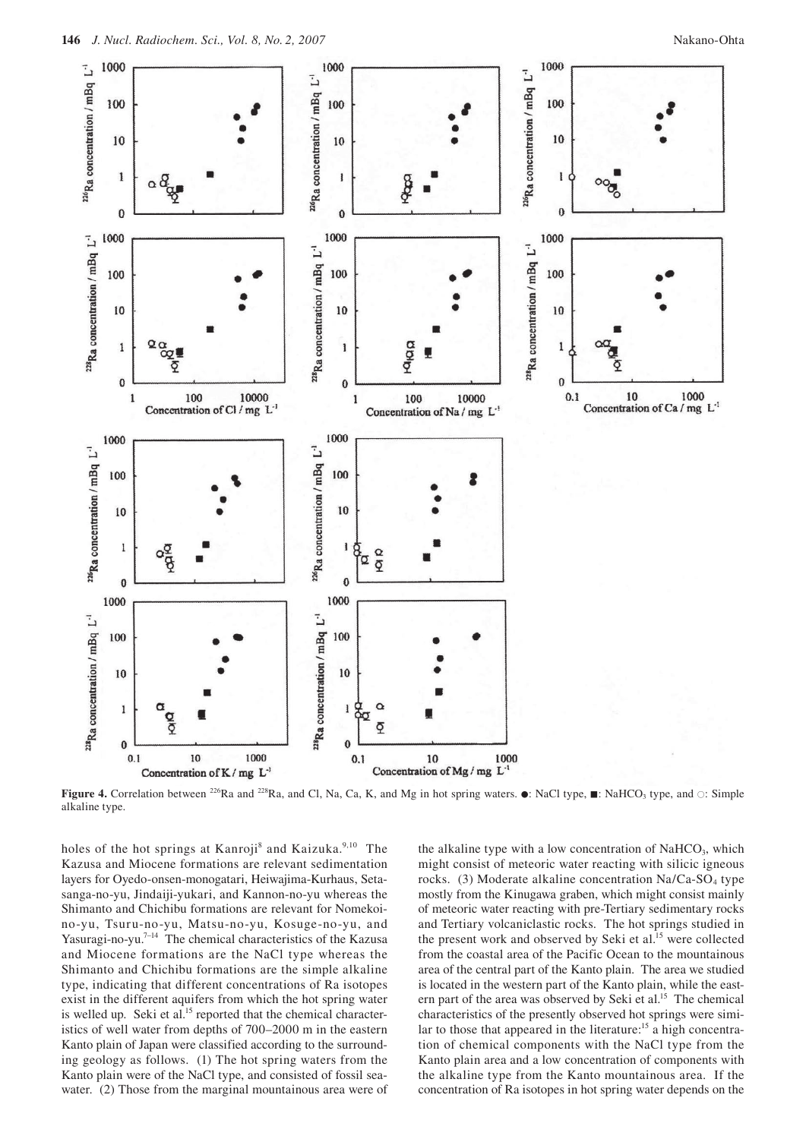

**Figure 4.** Correlation between <sup>226</sup>Ra and <sup>228</sup>Ra, and Cl, Na, Ca, K, and Mg in hot spring waters.  $\bullet$ : NaCl type,  $\blacksquare$ : NaHCO<sub>3</sub> type, and ○: Simple alkaline type.

holes of the hot springs at Kanroji<sup>8</sup> and Kaizuka.<sup>9,10</sup> The Kazusa and Miocene formations are relevant sedimentation layers for Oyedo-onsen-monogatari, Heiwajima-Kurhaus, Setasanga-no-yu, Jindaiji-yukari, and Kannon-no-yu whereas the Shimanto and Chichibu formations are relevant for Nomekoino-yu, Tsuru-no-yu, Matsu-no-yu, Kosuge-no-yu, and Yasuragi-no-yu.7–14 The chemical characteristics of the Kazusa and Miocene formations are the NaCl type whereas the Shimanto and Chichibu formations are the simple alkaline type, indicating that different concentrations of Ra isotopes exist in the different aquifers from which the hot spring water is welled up. Seki et al.<sup>15</sup> reported that the chemical characteristics of well water from depths of 700–2000 m in the eastern Kanto plain of Japan were classified according to the surrounding geology as follows. (1) The hot spring waters from the Kanto plain were of the NaCl type, and consisted of fossil seawater. (2) Those from the marginal mountainous area were of

the alkaline type with a low concentration of  $NAHCO<sub>3</sub>$ , which might consist of meteoric water reacting with silicic igneous rocks. (3) Moderate alkaline concentration Na/Ca-SO<sub>4</sub> type mostly from the Kinugawa graben, which might consist mainly of meteoric water reacting with pre-Tertiary sedimentary rocks and Tertiary volcaniclastic rocks. The hot springs studied in the present work and observed by Seki et al.<sup>15</sup> were collected from the coastal area of the Pacific Ocean to the mountainous area of the central part of the Kanto plain. The area we studied is located in the western part of the Kanto plain, while the eastern part of the area was observed by Seki et al.<sup>15</sup> The chemical characteristics of the presently observed hot springs were similar to those that appeared in the literature:<sup>15</sup> a high concentration of chemical components with the NaCl type from the Kanto plain area and a low concentration of components with the alkaline type from the Kanto mountainous area. If the concentration of Ra isotopes in hot spring water depends on the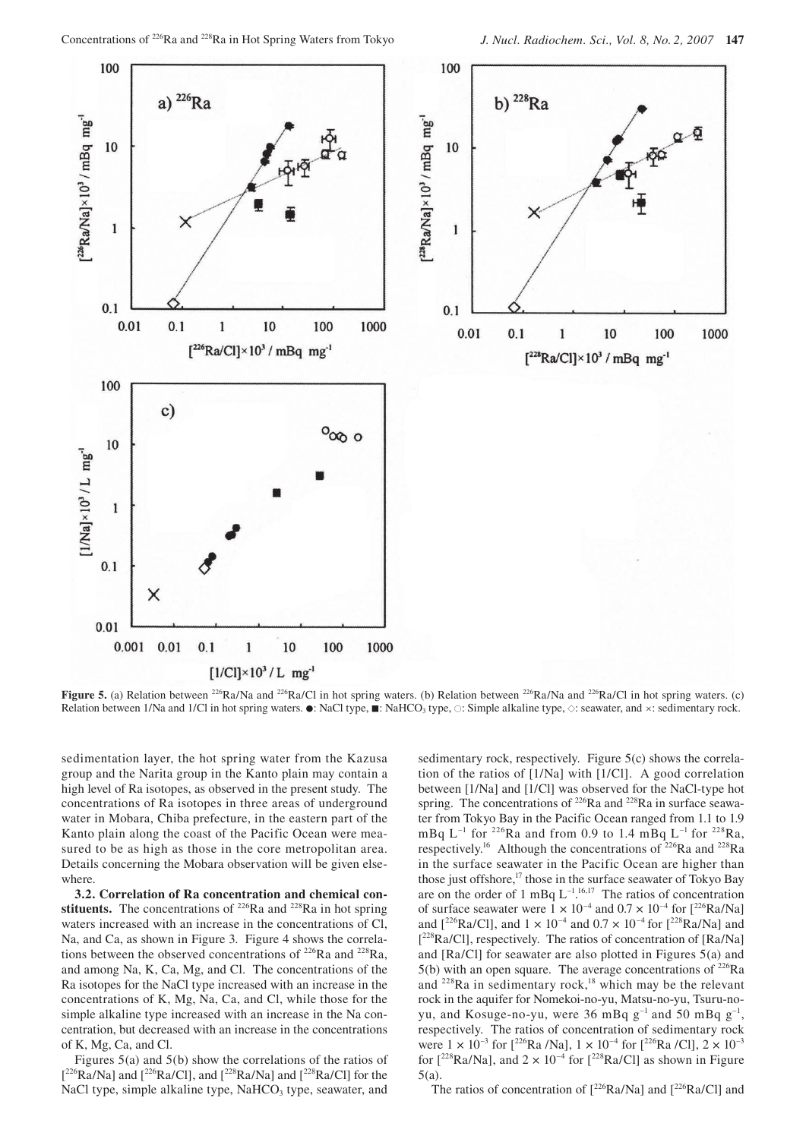1000



**Figure 5.** (a) Relation between <sup>226</sup>Ra/Na and <sup>226</sup>Ra/Cl in hot spring waters. (b) Relation between <sup>226</sup>Ra/Na and <sup>226</sup>Ra/Cl in hot spring waters. (c) Relation between 1/Na and 1/Cl in hot spring waters.  $\bullet$ : NaCl type,  $\bullet$ : NaHCO<sub>3</sub> type,  $\circ$ : Simple alkaline type,  $\circ$ : seawater, and ×: sedimentary rock.

sedimentation layer, the hot spring water from the Kazusa group and the Narita group in the Kanto plain may contain a high level of Ra isotopes, as observed in the present study. The concentrations of Ra isotopes in three areas of underground water in Mobara, Chiba prefecture, in the eastern part of the Kanto plain along the coast of the Pacific Ocean were measured to be as high as those in the core metropolitan area. Details concerning the Mobara observation will be given elsewhere.

**3.2. Correlation of Ra concentration and chemical con**stituents. The concentrations of  $226Ra$  and  $228Ra$  in hot spring waters increased with an increase in the concentrations of Cl, Na, and Ca, as shown in Figure 3. Figure 4 shows the correlations between the observed concentrations of 226Ra and 228Ra, and among Na, K, Ca, Mg, and Cl. The concentrations of the Ra isotopes for the NaCl type increased with an increase in the concentrations of K, Mg, Na, Ca, and Cl, while those for the simple alkaline type increased with an increase in the Na concentration, but decreased with an increase in the concentrations of K, Mg, Ca, and Cl.

Figures 5(a) and 5(b) show the correlations of the ratios of  $[{}^{226}Ra/Na]$  and  $[{}^{226}Ra/Cl]$ , and  $[{}^{228}Ra/Na]$  and  $[{}^{228}Ra/Cl]$  for the NaCl type, simple alkaline type, NaHCO<sub>3</sub> type, seawater, and

sedimentary rock, respectively. Figure 5(c) shows the correlation of the ratios of [1/Na] with [1/Cl]. A good correlation between [1/Na] and [1/Cl] was observed for the NaCl-type hot spring. The concentrations of  $226$ Ra and  $228$ Ra in surface seawater from Tokyo Bay in the Pacific Ocean ranged from 1.1 to 1.9 mBq  $L^{-1}$  for <sup>226</sup>Ra and from 0.9 to 1.4 mBq  $L^{-1}$  for <sup>228</sup>Ra, respectively.<sup>16</sup> Although the concentrations of  $226Ra$  and  $228Ra$ in the surface seawater in the Pacific Ocean are higher than those just offshore,<sup>17</sup> those in the surface seawater of Tokyo Bay are on the order of 1 mBq  $L^{-1.16,17}$  The ratios of concentration of surface seawater were  $1 \times 10^{-4}$  and  $0.7 \times 10^{-4}$  for  $[^{226}Ra/\text{Na}]$ and  $[^{226}Ra/C]$ , and  $1 \times 10^{-4}$  and  $0.7 \times 10^{-4}$  for  $[^{228}Ra/Na]$  and [<sup>228</sup>Ra/Cl], respectively. The ratios of concentration of [Ra/Na] and [Ra/Cl] for seawater are also plotted in Figures 5(a) and  $5(b)$  with an open square. The average concentrations of <sup>226</sup>Ra and <sup>228</sup>Ra in sedimentary rock,<sup>18</sup> which may be the relevant rock in the aquifer for Nomekoi-no-yu, Matsu-no-yu, Tsuru-noyu, and Kosuge-no-yu, were 36 mBq  $g^{-1}$  and 50 mBq  $g^{-1}$ , respectively. The ratios of concentration of sedimentary rock were  $1 \times 10^{-3}$  for  $\int^{226}$ Ra /Na],  $1 \times 10^{-4}$  for  $\int^{226}$ Ra /Cl],  $2 \times 10^{-3}$ for  $\lceil^{228}Ra/Na\rceil$ , and  $2 \times 10^{-4}$  for  $\lceil^{228}Ra/Cl\rceil$  as shown in Figure 5(a).

The ratios of concentration of  $\int^{226}Ra/Na$  and  $\int^{226}Ra/Cll$  and